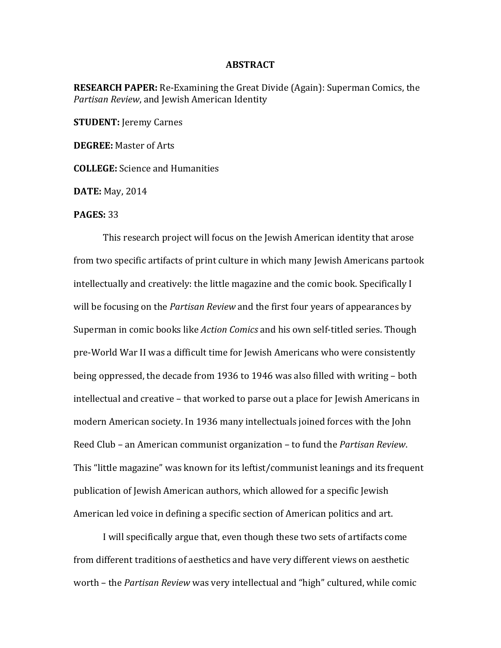## **ABSTRACT**

**RESEARCH PAPER:** Re-Examining the Great Divide (Again): Superman Comics, the *Partisan Review*, and Jewish American Identity

**STUDENT:** Jeremy Carnes

**DEGREE:** Master of Arts

**COLLEGE:** Science and Humanities

**DATE:** May, 2014

## **PAGES: 33**

This research project will focus on the Jewish American identity that arose from two specific artifacts of print culture in which many Jewish Americans partook intellectually and creatively: the little magazine and the comic book. Specifically I will be focusing on the *Partisan Review* and the first four years of appearances by Superman in comic books like *Action Comics* and his own self-titled series. Though pre-World War II was a difficult time for Jewish Americans who were consistently being oppressed, the decade from 1936 to 1946 was also filled with writing  $-$  both intellectual and creative – that worked to parse out a place for Jewish Americans in modern American society. In 1936 many intellectuals joined forces with the John Reed Club – an American communist organization – to fund the *Partisan Review*. This "little magazine" was known for its leftist/communist leanings and its frequent publication of Jewish American authors, which allowed for a specific Jewish American led voice in defining a specific section of American politics and art.

I will specifically argue that, even though these two sets of artifacts come from different traditions of aesthetics and have very different views on aesthetic worth – the *Partisan Review* was very intellectual and "high" cultured, while comic